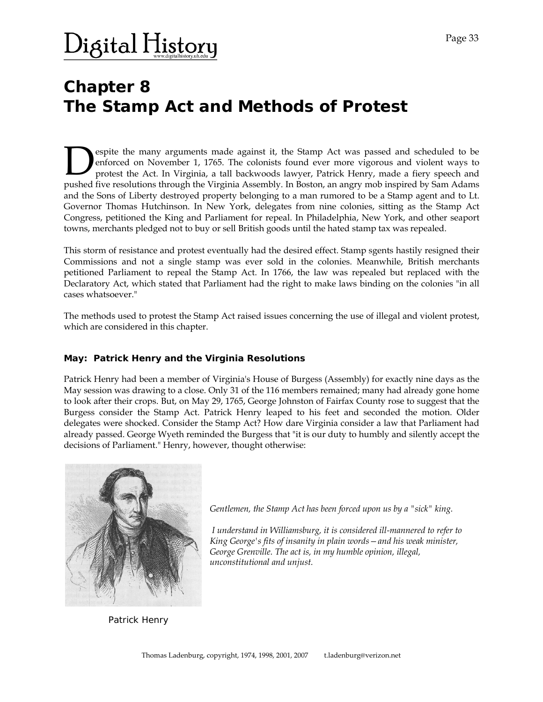## Digital H<u>istor</u>y

### **Chapter 8 The Stamp Act and Methods of Protest**

espite the many arguments made against it, the Stamp Act was passed and scheduled to be enforced on November 1, 1765. The colonists found ever more vigorous and violent ways to protest the Act. In Virginia, a tall backwoods lawyer, Patrick Henry, made a fiery speech and **Pushed five resolutions in a** scheduled to be enforced on November 1, 1765. The colonists found ever more vigorous and violent ways to protest the Act. In Virginia, a tall backwoods lawyer, Patrick Henry, made a fiery spe and the Sons of Liberty destroyed property belonging to a man rumored to be a Stamp agent and to Lt. Governor Thomas Hutchinson. In New York, delegates from nine colonies, sitting as the Stamp Act Congress, petitioned the King and Parliament for repeal. In Philadelphia, New York, and other seaport towns, merchants pledged not to buy or sell British goods until the hated stamp tax was repealed.

This storm of resistance and protest eventually had the desired effect. Stamp sgents hastily resigned their Commissions and not a single stamp was ever sold in the colonies. Meanwhile, British merchants petitioned Parliament to repeal the Stamp Act. In 1766, the law was repealed but replaced with the Declaratory Act, which stated that Parliament had the right to make laws binding on the colonies "in all cases whatsoever."

The methods used to protest the Stamp Act raised issues concerning the use of illegal and violent protest, which are considered in this chapter.

#### **May: Patrick Henry and the Virginia Resolutions**

Patrick Henry had been a member of Virginia's House of Burgess (Assembly) for exactly nine days as the May session was drawing to a close. Only 31 of the 116 members remained; many had already gone home to look after their crops. But, on May 29, 1765, George Johnston of Fairfax County rose to suggest that the Burgess consider the Stamp Act. Patrick Henry leaped to his feet and seconded the motion. Older delegates were shocked. Consider the Stamp Act? How dare Virginia consider a law that Parliament had already passed. George Wyeth reminded the Burgess that "it is our duty to humbly and silently accept the decisions of Parliament." Henry, however, thought otherwise:



*Gentlemen, the Stamp Act has been forced upon us by a "sick" king.* 

 *I understand in Williamsburg, it is considered ill-mannered to refer to King George's fits of insanity in plain words—and his weak minister, George Grenville. The act is, in my humble opinion, illegal, unconstitutional and unjust.* 

Patrick Henry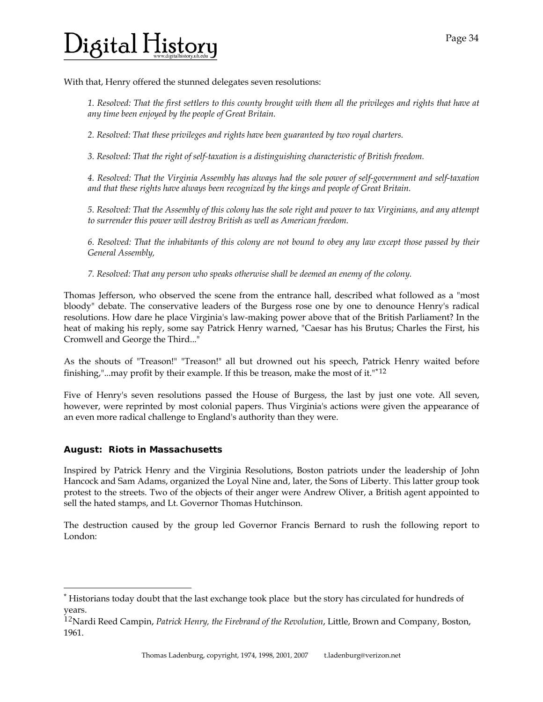## )igital H<u>istor</u>y

With that, Henry offered the stunned delegates seven resolutions:

*1. Resolved: That the first settlers to this county brought with them all the privileges and rights that have at any time been enjoyed by the people of Great Britain.* 

*2. Resolved: That these privileges and rights have been guaranteed by two royal charters.* 

*3. Resolved: That the right of self-taxation is a distinguishing characteristic of British freedom.* 

*4. Resolved: That the Virginia Assembly has always had the sole power of self-government and self-taxation and that these rights have always been recognized by the kings and people of Great Britain.* 

*5. Resolved: That the Assembly of this colony has the sole right and power to tax Virginians, and any attempt to surrender this power will destroy British as well as American freedom.* 

*6. Resolved: That the inhabitants of this colony are not bound to obey any law except those passed by their General Assembly,* 

*7. Resolved: That any person who speaks otherwise shall be deemed an enemy of the colony.* 

Thomas Jefferson, who observed the scene from the entrance hall, described what followed as a "most bloody" debate. The conservative leaders of the Burgess rose one by one to denounce Henry's radical resolutions. How dare he place Virginia's law-making power above that of the British Parliament? In the heat of making his reply, some say Patrick Henry warned, "Caesar has his Brutus; Charles the First, his Cromwell and George the Third..."

As the shouts of "Treason!" "Treason!" all but drowned out his speech, Patrick Henry waited before finishing,"...may profit by their example. If this be treason, make the most of it." $12$ 

Five of Henry's seven resolutions passed the House of Burgess, the last by just one vote. All seven, however, were reprinted by most colonial papers. Thus Virginia's actions were given the appearance of an even more radical challenge to England's authority than they were.

#### **August: Riots in Massachusetts**

l

Inspired by Patrick Henry and the Virginia Resolutions, Boston patriots under the leadership of John Hancock and Sam Adams, organized the Loyal Nine and, later, the Sons of Liberty. This latter group took protest to the streets. Two of the objects of their anger were Andrew Oliver, a British agent appointed to sell the hated stamps, and Lt. Governor Thomas Hutchinson.

The destruction caused by the group led Governor Francis Bernard to rush the following report to London:

<span id="page-1-0"></span><sup>\*</sup> Historians today doubt that the last exchange took place but the story has circulated for hundreds of years.

<span id="page-1-1"></span><sup>12</sup>Nardi Reed Campin, *Patrick Henry, the Firebrand of the Revolution*, Little, Brown and Company, Boston, 1961.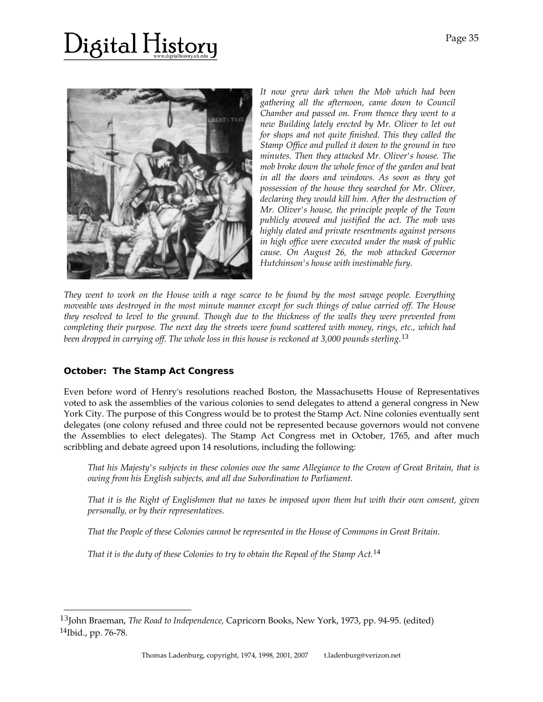# )igital History



*It now grew dark when the Mob which had been gathering all the afternoon, came down to Council Chamber and passed on. From thence they went to a new Building lately erected by Mr. Oliver to let out for shops and not quite finished. This they called the Stamp Office and pulled it down to the ground in two minutes. Then they attacked Mr. Oliver's house. The mob broke down the whole fence of the garden and beat in all the doors and windows. As soon as they got possession of the house they searched for Mr. Oliver, declaring they would kill him. After the destruction of Mr. Oliver's house, the principle people of the Town publicly avowed and justified the act. The mob was highly elated and private resentments against persons in high office were executed under the mask of public cause. On August 26, the mob attacked Governor Hutchinson's house with inestimable fury.* 

*They went to work on the House with a rage scarce to be found by the most savage people. Everything moveable was destroyed in the most minute manner except for such things of value carried off. The House they resolved to level to the ground. Though due to the thickness of the walls they were prevented from completing their purpose. The next day the streets were found scattered with money, rings, etc., which had been dropped in carrying off. The whole loss in this house is reckoned at 3,000 pounds sterling.*[13](#page-2-0)

#### **October: The Stamp Act Congress**

l

Even before word of Henry's resolutions reached Boston, the Massachusetts House of Representatives voted to ask the assemblies of the various colonies to send delegates to attend a general congress in New York City. The purpose of this Congress would be to protest the Stamp Act. Nine colonies eventually sent delegates (one colony refused and three could not be represented because governors would not convene the Assemblies to elect delegates). The Stamp Act Congress met in October, 1765, and after much scribbling and debate agreed upon 14 resolutions, including the following:

*That his Majesty's subjects in these colonies owe the same Allegiance to the Crown of Great Britain, that is owing from his English subjects, and all due Subordination to Parliament.* 

*That it is the Right of Englishmen that no taxes be imposed upon them but with their own consent, given personally, or by their representatives.* 

*That the People of these Colonies cannot be represented in the House of Commons in Great Britain.* 

*That it is the duty of these Colonies to try to obtain the Repeal of the Stamp Act.*[14](#page-2-1)

<span id="page-2-1"></span><span id="page-2-0"></span><sup>13</sup>John Braeman, *The Road to Independence,* Capricorn Books, New York, 1973, pp. 94-95. (edited) 14Ibid., pp. 76-78.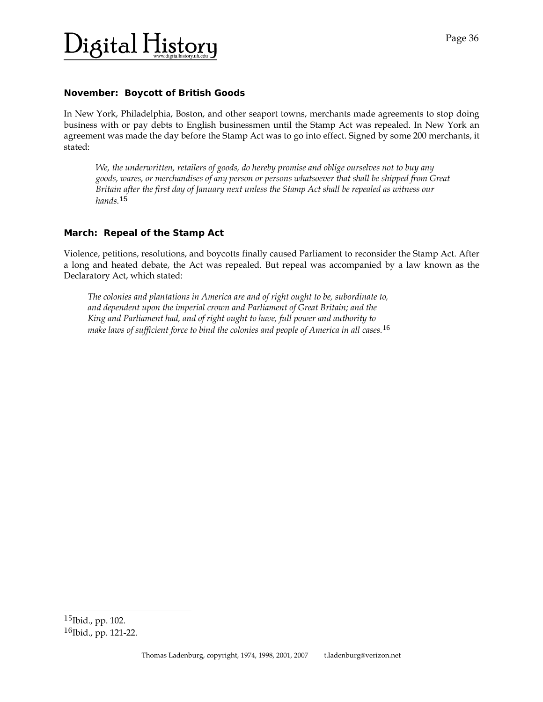### $\mathbf{b}_{\text{ijkl}}$  History

#### **November: Boycott of British Goods**

In New York, Philadelphia, Boston, and other seaport towns, merchants made agreements to stop doing business with or pay debts to English businessmen until the Stamp Act was repealed. In New York an agreement was made the day before the Stamp Act was to go into effect. Signed by some 200 merchants, it stated:

*We, the underwritten, retailers of goods, do hereby promise and oblige ourselves not to buy any goods, wares, or merchandises of any person or persons whatsoever that shall be shipped from Great Britain after the first day of January next unless the Stamp Act shall be repealed as witness our hands.*[15](#page-3-0)

#### **March: Repeal of the Stamp Act**

Violence, petitions, resolutions, and boycotts finally caused Parliament to reconsider the Stamp Act. After a long and heated debate, the Act was repealed. But repeal was accompanied by a law known as the Declaratory Act, which stated:

*The colonies and plantations in America are and of right ought to be, subordinate to, and dependent upon the imperial crown and Parliament of Great Britain; and the King and Parliament had, and of right ought to have, full power and authority to make laws of sufficient force to bind the colonies and people of America in all cases.*[16](#page-3-1)

l

<span id="page-3-1"></span><span id="page-3-0"></span><sup>15</sup>Ibid., pp. 102. <sup>16</sup>Ibid., pp. 121-22.